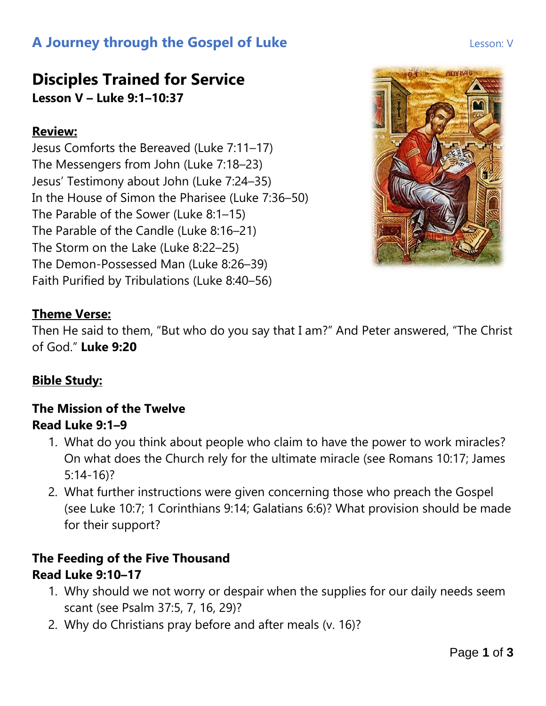## **A Journey through the Gospel of Luke Lesson: V** Lesson: V

## **Disciples Trained for Service Lesson V – Luke 9:1–10:37**

#### **Review:**

Jesus Comforts the Bereaved (Luke 7:11–17) The Messengers from John (Luke 7:18–23) Jesus' Testimony about John (Luke 7:24–35) In the House of Simon the Pharisee (Luke 7:36–50) The Parable of the Sower (Luke 8:1–15) The Parable of the Candle (Luke 8:16–21) The Storm on the Lake (Luke 8:22–25) The Demon-Possessed Man (Luke 8:26–39) Faith Purified by Tribulations (Luke 8:40–56)



#### **Theme Verse:**

Then He said to them, "But who do you say that I am?" And Peter answered, "The Christ of God." **Luke 9:20**

#### **Bible Study:**

#### **The Mission of the Twelve Read Luke 9:1–9**

- 1. What do you think about people who claim to have the power to work miracles? On what does the Church rely for the ultimate miracle (see Romans 10:17; James 5:14-16)?
- 2. What further instructions were given concerning those who preach the Gospel (see Luke 10:7; 1 Corinthians 9:14; Galatians 6:6)? What provision should be made for their support?

#### **The Feeding of the Five Thousand Read Luke 9:10–17**

- 1. Why should we not worry or despair when the supplies for our daily needs seem scant (see Psalm 37:5, 7, 16, 29)?
- 2. Why do Christians pray before and after meals (v. 16)?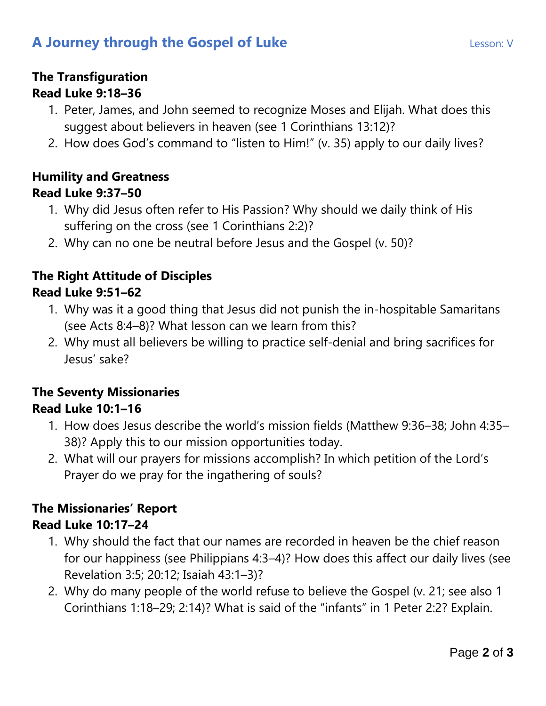## **A Journey through the Gospel of Luke Lesson: V** Lesson: V

# **The Transfiguration**

#### **Read Luke 9:18–36**

- 1. Peter, James, and John seemed to recognize Moses and Elijah. What does this suggest about believers in heaven (see 1 Corinthians 13:12)?
- 2. How does God's command to "listen to Him!" (v. 35) apply to our daily lives?

#### **Humility and Greatness Read Luke 9:37–50**

- 1. Why did Jesus often refer to His Passion? Why should we daily think of His suffering on the cross (see 1 Corinthians 2:2)?
- 2. Why can no one be neutral before Jesus and the Gospel (v. 50)?

#### **The Right Attitude of Disciples Read Luke 9:51–62**

- 1. Why was it a good thing that Jesus did not punish the in-hospitable Samaritans (see Acts 8:4–8)? What lesson can we learn from this?
- 2. Why must all believers be willing to practice self-denial and bring sacrifices for Jesus' sake?

#### **The Seventy Missionaries Read Luke 10:1–16**

- 1. How does Jesus describe the world's mission fields (Matthew 9:36–38; John 4:35– 38)? Apply this to our mission opportunities today.
- 2. What will our prayers for missions accomplish? In which petition of the Lord's Prayer do we pray for the ingathering of souls?

#### **The Missionaries' Report Read Luke 10:17–24**

- 1. Why should the fact that our names are recorded in heaven be the chief reason for our happiness (see Philippians 4:3–4)? How does this affect our daily lives (see Revelation 3:5; 20:12; Isaiah 43:1–3)?
- 2. Why do many people of the world refuse to believe the Gospel (v. 21; see also 1 Corinthians 1:18–29; 2:14)? What is said of the "infants" in 1 Peter 2:2? Explain.